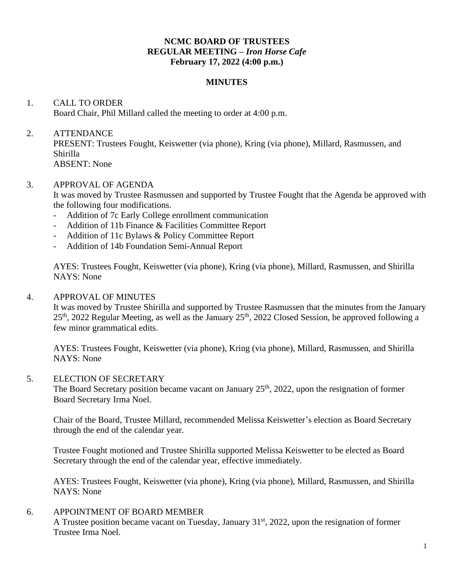### **NCMC BOARD OF TRUSTEES REGULAR MEETING –** *Iron Horse Cafe* **February 17, 2022 (4:00 p.m.)**

#### **MINUTES**

# 1. CALL TO ORDER Board Chair, Phil Millard called the meeting to order at 4:00 p.m.

## 2. ATTENDANCE

PRESENT: Trustees Fought, Keiswetter (via phone), Kring (via phone), Millard, Rasmussen, and Shirilla ABSENT: None

#### 3. APPROVAL OF AGENDA

It was moved by Trustee Rasmussen and supported by Trustee Fought that the Agenda be approved with the following four modifications.

- Addition of 7c Early College enrollment communication
- Addition of 11b Finance & Facilities Committee Report
- Addition of 11c Bylaws & Policy Committee Report
- Addition of 14b Foundation Semi-Annual Report

AYES: Trustees Fought, Keiswetter (via phone), Kring (via phone), Millard, Rasmussen, and Shirilla NAYS: None

### 4. APPROVAL OF MINUTES

It was moved by Trustee Shirilla and supported by Trustee Rasmussen that the minutes from the January 25<sup>th</sup>, 2022 Regular Meeting, as well as the January 25<sup>th</sup>, 2022 Closed Session, be approved following a few minor grammatical edits.

AYES: Trustees Fought, Keiswetter (via phone), Kring (via phone), Millard, Rasmussen, and Shirilla NAYS: None

#### 5. ELECTION OF SECRETARY

The Board Secretary position became vacant on January  $25<sup>th</sup>$ , 2022, upon the resignation of former Board Secretary Irma Noel.

Chair of the Board, Trustee Millard, recommended Melissa Keiswetter's election as Board Secretary through the end of the calendar year.

Trustee Fought motioned and Trustee Shirilla supported Melissa Keiswetter to be elected as Board Secretary through the end of the calendar year, effective immediately.

AYES: Trustees Fought, Keiswetter (via phone), Kring (via phone), Millard, Rasmussen, and Shirilla NAYS: None

## 6. APPOINTMENT OF BOARD MEMBER

A Trustee position became vacant on Tuesday, January 31<sup>st</sup>, 2022, upon the resignation of former Trustee Irma Noel.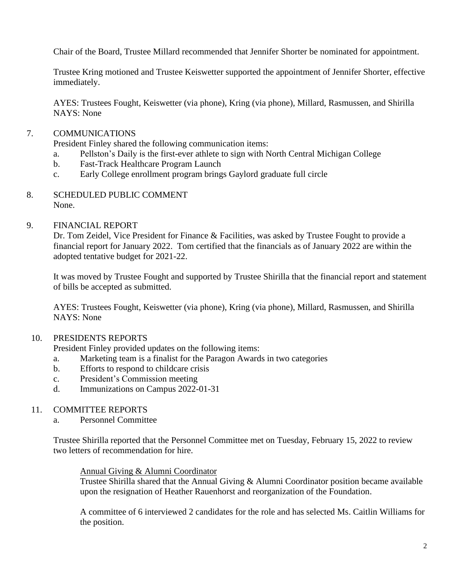Chair of the Board, Trustee Millard recommended that Jennifer Shorter be nominated for appointment.

Trustee Kring motioned and Trustee Keiswetter supported the appointment of Jennifer Shorter, effective immediately.

AYES: Trustees Fought, Keiswetter (via phone), Kring (via phone), Millard, Rasmussen, and Shirilla NAYS: None

## 7. COMMUNICATIONS

President Finley shared the following communication items:

- a. Pellston's Daily is the first-ever athlete to sign with North Central Michigan College
- b. Fast-Track Healthcare Program Launch
- c. Early College enrollment program brings Gaylord graduate full circle
- 8. SCHEDULED PUBLIC COMMENT None.

### 9. FINANCIAL REPORT

Dr. Tom Zeidel, Vice President for Finance & Facilities, was asked by Trustee Fought to provide a financial report for January 2022. Tom certified that the financials as of January 2022 are within the adopted tentative budget for 2021-22.

It was moved by Trustee Fought and supported by Trustee Shirilla that the financial report and statement of bills be accepted as submitted.

AYES: Trustees Fought, Keiswetter (via phone), Kring (via phone), Millard, Rasmussen, and Shirilla NAYS: None

## 10. PRESIDENTS REPORTS

President Finley provided updates on the following items:

- a. Marketing team is a finalist for the Paragon Awards in two categories
- b. Efforts to respond to childcare crisis
- c. President's Commission meeting
- d. Immunizations on Campus 2022-01-31

## 11. COMMITTEE REPORTS

a. Personnel Committee

Trustee Shirilla reported that the Personnel Committee met on Tuesday, February 15, 2022 to review two letters of recommendation for hire.

#### Annual Giving & Alumni Coordinator

Trustee Shirilla shared that the Annual Giving & Alumni Coordinator position became available upon the resignation of Heather Rauenhorst and reorganization of the Foundation.

A committee of 6 interviewed 2 candidates for the role and has selected Ms. Caitlin Williams for the position.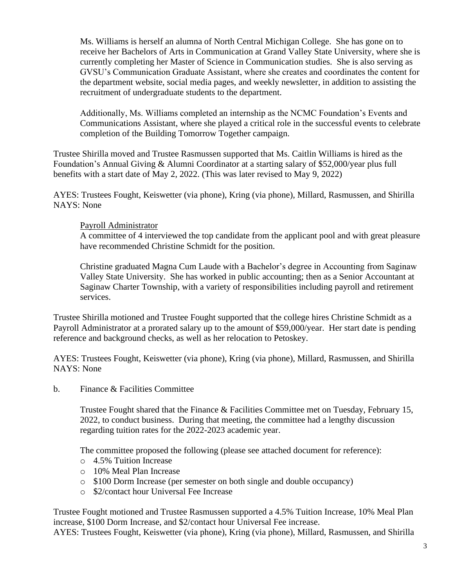Ms. Williams is herself an alumna of North Central Michigan College. She has gone on to receive her Bachelors of Arts in Communication at Grand Valley State University, where she is currently completing her Master of Science in Communication studies. She is also serving as GVSU's Communication Graduate Assistant, where she creates and coordinates the content for the department website, social media pages, and weekly newsletter, in addition to assisting the recruitment of undergraduate students to the department.

Additionally, Ms. Williams completed an internship as the NCMC Foundation's Events and Communications Assistant, where she played a critical role in the successful events to celebrate completion of the Building Tomorrow Together campaign.

Trustee Shirilla moved and Trustee Rasmussen supported that Ms. Caitlin Williams is hired as the Foundation's Annual Giving & Alumni Coordinator at a starting salary of \$52,000/year plus full benefits with a start date of May 2, 2022. (This was later revised to May 9, 2022)

AYES: Trustees Fought, Keiswetter (via phone), Kring (via phone), Millard, Rasmussen, and Shirilla NAYS: None

#### Payroll Administrator

A committee of 4 interviewed the top candidate from the applicant pool and with great pleasure have recommended Christine Schmidt for the position.

Christine graduated Magna Cum Laude with a Bachelor's degree in Accounting from Saginaw Valley State University. She has worked in public accounting; then as a Senior Accountant at Saginaw Charter Township, with a variety of responsibilities including payroll and retirement services.

Trustee Shirilla motioned and Trustee Fought supported that the college hires Christine Schmidt as a Payroll Administrator at a prorated salary up to the amount of \$59,000/year. Her start date is pending reference and background checks, as well as her relocation to Petoskey.

AYES: Trustees Fought, Keiswetter (via phone), Kring (via phone), Millard, Rasmussen, and Shirilla NAYS: None

b. Finance  $\&$  Facilities Committee

Trustee Fought shared that the Finance & Facilities Committee met on Tuesday, February 15, 2022, to conduct business. During that meeting, the committee had a lengthy discussion regarding tuition rates for the 2022-2023 academic year.

The committee proposed the following (please see attached document for reference):

- o 4.5% Tuition Increase
- o 10% Meal Plan Increase
- o \$100 Dorm Increase (per semester on both single and double occupancy)
- o \$2/contact hour Universal Fee Increase

Trustee Fought motioned and Trustee Rasmussen supported a 4.5% Tuition Increase, 10% Meal Plan increase, \$100 Dorm Increase, and \$2/contact hour Universal Fee increase.

AYES: Trustees Fought, Keiswetter (via phone), Kring (via phone), Millard, Rasmussen, and Shirilla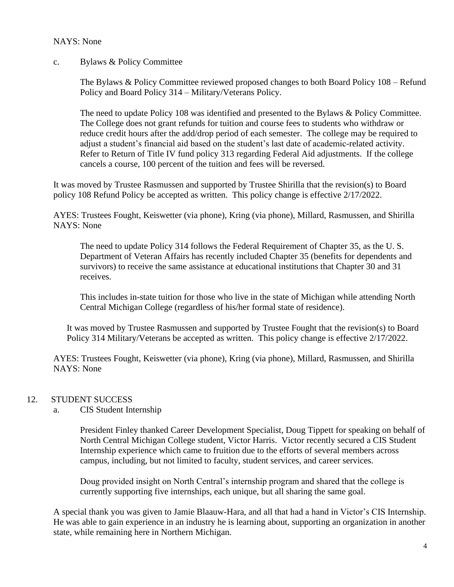### NAYS: None

c. Bylaws & Policy Committee

The Bylaws & Policy Committee reviewed proposed changes to both Board Policy 108 – Refund Policy and Board Policy 314 – Military/Veterans Policy.

The need to update Policy 108 was identified and presented to the Bylaws & Policy Committee. The College does not grant refunds for tuition and course fees to students who withdraw or reduce credit hours after the add/drop period of each semester. The college may be required to adjust a student's financial aid based on the student's last date of academic-related activity. Refer to Return of Title IV fund policy 313 regarding Federal Aid adjustments. If the college cancels a course, 100 percent of the tuition and fees will be reversed.

It was moved by Trustee Rasmussen and supported by Trustee Shirilla that the revision(s) to Board policy 108 Refund Policy be accepted as written. This policy change is effective 2/17/2022.

AYES: Trustees Fought, Keiswetter (via phone), Kring (via phone), Millard, Rasmussen, and Shirilla NAYS: None

The need to update Policy 314 follows the Federal Requirement of Chapter 35, as the U. S. Department of Veteran Affairs has recently included Chapter 35 (benefits for dependents and survivors) to receive the same assistance at educational institutions that Chapter 30 and 31 receives.

This includes in-state tuition for those who live in the state of Michigan while attending North Central Michigan College (regardless of his/her formal state of residence).

It was moved by Trustee Rasmussen and supported by Trustee Fought that the revision(s) to Board Policy 314 Military/Veterans be accepted as written. This policy change is effective 2/17/2022.

AYES: Trustees Fought, Keiswetter (via phone), Kring (via phone), Millard, Rasmussen, and Shirilla NAYS: None

## 12. STUDENT SUCCESS

a. CIS Student Internship

President Finley thanked Career Development Specialist, Doug Tippett for speaking on behalf of North Central Michigan College student, Victor Harris. Victor recently secured a CIS Student Internship experience which came to fruition due to the efforts of several members across campus, including, but not limited to faculty, student services, and career services.

Doug provided insight on North Central's internship program and shared that the college is currently supporting five internships, each unique, but all sharing the same goal.

A special thank you was given to Jamie Blaauw-Hara, and all that had a hand in Victor's CIS Internship. He was able to gain experience in an industry he is learning about, supporting an organization in another state, while remaining here in Northern Michigan.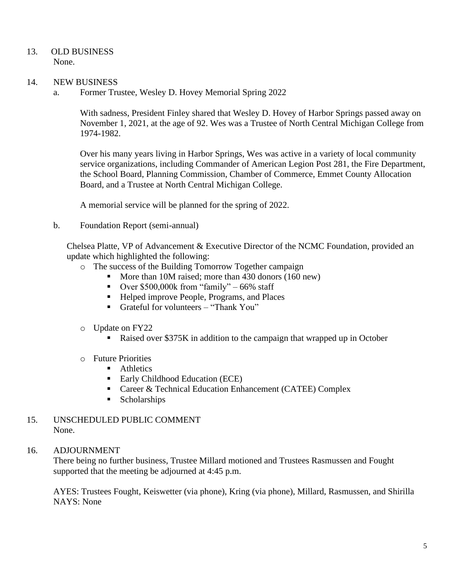- 13. OLD BUSINESS None.
- 14. NEW BUSINESS
	- a. Former Trustee, Wesley D. Hovey Memorial Spring 2022

With sadness, President Finley shared that Wesley D. Hovey of Harbor Springs passed away on November 1, 2021, at the age of 92. Wes was a Trustee of North Central Michigan College from 1974-1982.

Over his many years living in Harbor Springs, Wes was active in a variety of local community service organizations, including Commander of American Legion Post 281, the Fire Department, the School Board, Planning Commission, Chamber of Commerce, Emmet County Allocation Board, and a Trustee at North Central Michigan College.

A memorial service will be planned for the spring of 2022.

b. Foundation Report (semi-annual)

Chelsea Platte, VP of Advancement & Executive Director of the NCMC Foundation, provided an update which highlighted the following:

- o The success of the Building Tomorrow Together campaign
	- More than 10M raised; more than 430 donors (160 new)
	- **•** Over  $$500,000k$  from "family" 66% staff
	- Helped improve People, Programs, and Places
	- Grateful for volunteers "Thank You"
- o Update on FY22
	- Raised over \$375K in addition to the campaign that wrapped up in October
- o Future Priorities
	- Athletics
	- Early Childhood Education (ECE)
	- Career & Technical Education Enhancement (CATEE) Complex
	- Scholarships
- 15. UNSCHEDULED PUBLIC COMMENT None.
- 16. ADJOURNMENT

There being no further business, Trustee Millard motioned and Trustees Rasmussen and Fought supported that the meeting be adjourned at 4:45 p.m.

AYES: Trustees Fought, Keiswetter (via phone), Kring (via phone), Millard, Rasmussen, and Shirilla NAYS: None